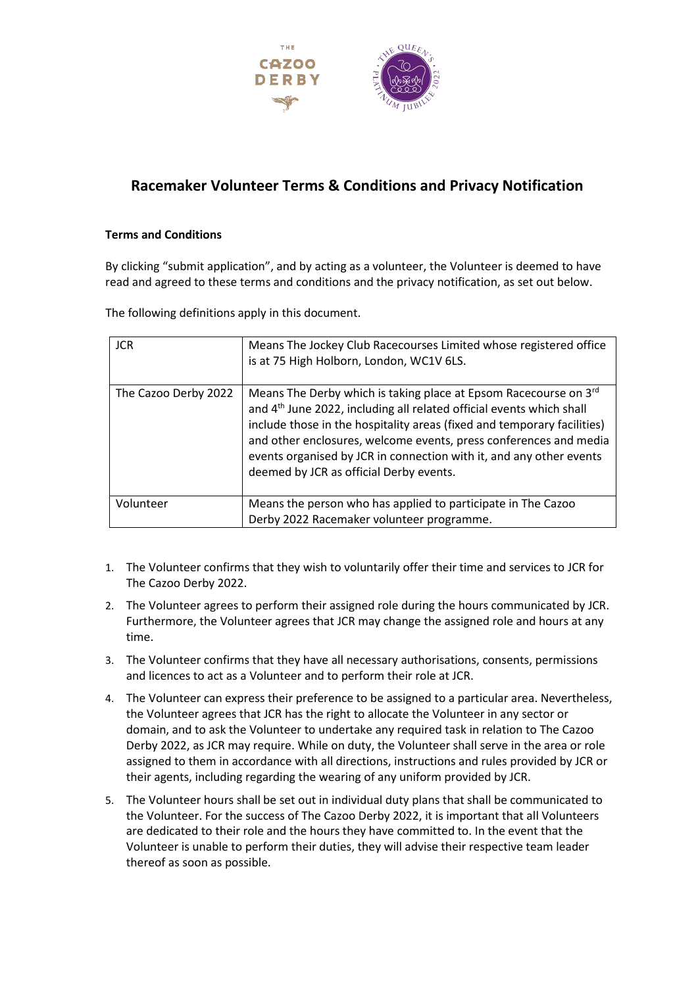

## **Racemaker Volunteer Terms & Conditions and Privacy Notification**

## **Terms and Conditions**

By clicking "submit application", and by acting as a volunteer, the Volunteer is deemed to have read and agreed to these terms and conditions and the privacy notification, as set out below.

The following definitions apply in this document.

| <b>JCR</b>           | Means The Jockey Club Racecourses Limited whose registered office<br>is at 75 High Holborn, London, WC1V 6LS.                                                                                                                                                                                                                                                                                                          |
|----------------------|------------------------------------------------------------------------------------------------------------------------------------------------------------------------------------------------------------------------------------------------------------------------------------------------------------------------------------------------------------------------------------------------------------------------|
| The Cazoo Derby 2022 | Means The Derby which is taking place at Epsom Racecourse on 3rd<br>and 4 <sup>th</sup> June 2022, including all related official events which shall<br>include those in the hospitality areas (fixed and temporary facilities)<br>and other enclosures, welcome events, press conferences and media<br>events organised by JCR in connection with it, and any other events<br>deemed by JCR as official Derby events. |
| Volunteer            | Means the person who has applied to participate in The Cazoo<br>Derby 2022 Racemaker volunteer programme.                                                                                                                                                                                                                                                                                                              |

- 1. The Volunteer confirms that they wish to voluntarily offer their time and services to JCR for The Cazoo Derby 2022.
- 2. The Volunteer agrees to perform their assigned role during the hours communicated by JCR. Furthermore, the Volunteer agrees that JCR may change the assigned role and hours at any time.
- 3. The Volunteer confirms that they have all necessary authorisations, consents, permissions and licences to act as a Volunteer and to perform their role at JCR.
- 4. The Volunteer can express their preference to be assigned to a particular area. Nevertheless, the Volunteer agrees that JCR has the right to allocate the Volunteer in any sector or domain, and to ask the Volunteer to undertake any required task in relation to The Cazoo Derby 2022, as JCR may require. While on duty, the Volunteer shall serve in the area or role assigned to them in accordance with all directions, instructions and rules provided by JCR or their agents, including regarding the wearing of any uniform provided by JCR.
- 5. The Volunteer hours shall be set out in individual duty plans that shall be communicated to the Volunteer. For the success of The Cazoo Derby 2022, it is important that all Volunteers are dedicated to their role and the hours they have committed to. In the event that the Volunteer is unable to perform their duties, they will advise their respective team leader thereof as soon as possible.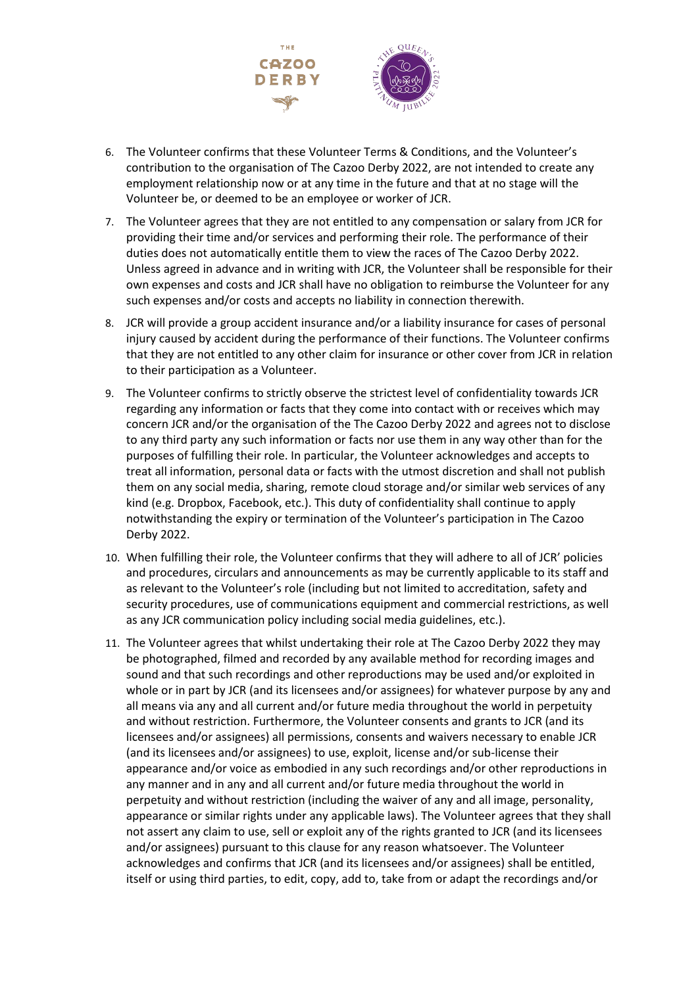

- 6. The Volunteer confirms that these Volunteer Terms & Conditions, and the Volunteer's contribution to the organisation of The Cazoo Derby 2022, are not intended to create any employment relationship now or at any time in the future and that at no stage will the Volunteer be, or deemed to be an employee or worker of JCR.
- 7. The Volunteer agrees that they are not entitled to any compensation or salary from JCR for providing their time and/or services and performing their role. The performance of their duties does not automatically entitle them to view the races of The Cazoo Derby 2022. Unless agreed in advance and in writing with JCR, the Volunteer shall be responsible for their own expenses and costs and JCR shall have no obligation to reimburse the Volunteer for any such expenses and/or costs and accepts no liability in connection therewith.
- 8. JCR will provide a group accident insurance and/or a liability insurance for cases of personal injury caused by accident during the performance of their functions. The Volunteer confirms that they are not entitled to any other claim for insurance or other cover from JCR in relation to their participation as a Volunteer.
- 9. The Volunteer confirms to strictly observe the strictest level of confidentiality towards JCR regarding any information or facts that they come into contact with or receives which may concern JCR and/or the organisation of the The Cazoo Derby 2022 and agrees not to disclose to any third party any such information or facts nor use them in any way other than for the purposes of fulfilling their role. In particular, the Volunteer acknowledges and accepts to treat all information, personal data or facts with the utmost discretion and shall not publish them on any social media, sharing, remote cloud storage and/or similar web services of any kind (e.g. Dropbox, Facebook, etc.). This duty of confidentiality shall continue to apply notwithstanding the expiry or termination of the Volunteer's participation in The Cazoo Derby 2022.
- 10. When fulfilling their role, the Volunteer confirms that they will adhere to all of JCR' policies and procedures, circulars and announcements as may be currently applicable to its staff and as relevant to the Volunteer's role (including but not limited to accreditation, safety and security procedures, use of communications equipment and commercial restrictions, as well as any JCR communication policy including social media guidelines, etc.).
- 11. The Volunteer agrees that whilst undertaking their role at The Cazoo Derby 2022 they may be photographed, filmed and recorded by any available method for recording images and sound and that such recordings and other reproductions may be used and/or exploited in whole or in part by JCR (and its licensees and/or assignees) for whatever purpose by any and all means via any and all current and/or future media throughout the world in perpetuity and without restriction. Furthermore, the Volunteer consents and grants to JCR (and its licensees and/or assignees) all permissions, consents and waivers necessary to enable JCR (and its licensees and/or assignees) to use, exploit, license and/or sub-license their appearance and/or voice as embodied in any such recordings and/or other reproductions in any manner and in any and all current and/or future media throughout the world in perpetuity and without restriction (including the waiver of any and all image, personality, appearance or similar rights under any applicable laws). The Volunteer agrees that they shall not assert any claim to use, sell or exploit any of the rights granted to JCR (and its licensees and/or assignees) pursuant to this clause for any reason whatsoever. The Volunteer acknowledges and confirms that JCR (and its licensees and/or assignees) shall be entitled, itself or using third parties, to edit, copy, add to, take from or adapt the recordings and/or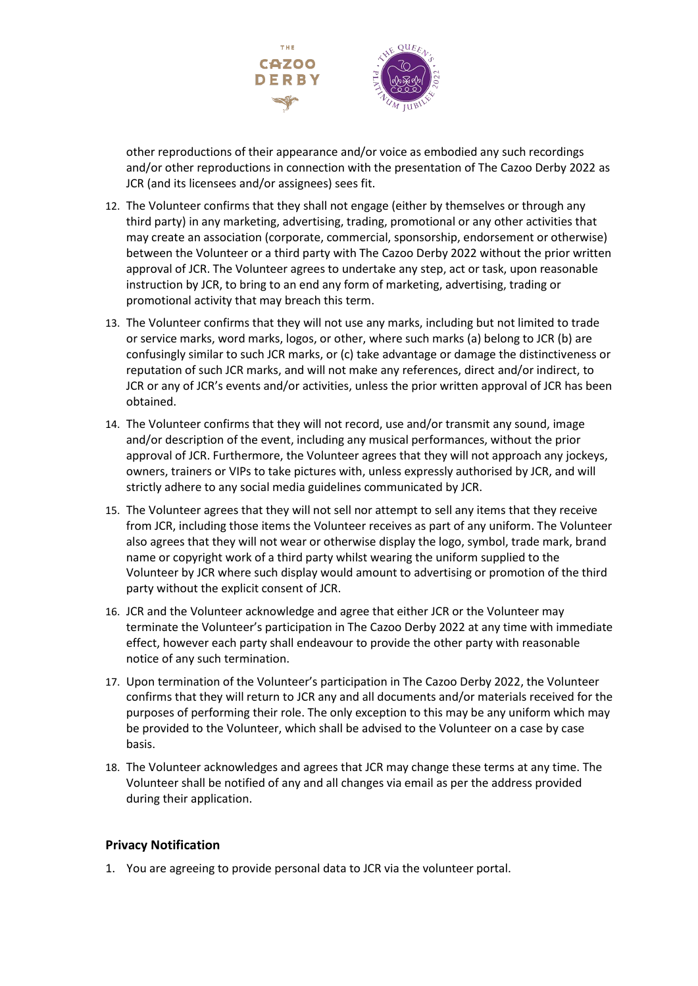

other reproductions of their appearance and/or voice as embodied any such recordings and/or other reproductions in connection with the presentation of The Cazoo Derby 2022 as JCR (and its licensees and/or assignees) sees fit.

- 12. The Volunteer confirms that they shall not engage (either by themselves or through any third party) in any marketing, advertising, trading, promotional or any other activities that may create an association (corporate, commercial, sponsorship, endorsement or otherwise) between the Volunteer or a third party with The Cazoo Derby 2022 without the prior written approval of JCR. The Volunteer agrees to undertake any step, act or task, upon reasonable instruction by JCR, to bring to an end any form of marketing, advertising, trading or promotional activity that may breach this term.
- 13. The Volunteer confirms that they will not use any marks, including but not limited to trade or service marks, word marks, logos, or other, where such marks (a) belong to JCR (b) are confusingly similar to such JCR marks, or (c) take advantage or damage the distinctiveness or reputation of such JCR marks, and will not make any references, direct and/or indirect, to JCR or any of JCR's events and/or activities, unless the prior written approval of JCR has been obtained.
- 14. The Volunteer confirms that they will not record, use and/or transmit any sound, image and/or description of the event, including any musical performances, without the prior approval of JCR. Furthermore, the Volunteer agrees that they will not approach any jockeys, owners, trainers or VIPs to take pictures with, unless expressly authorised by JCR, and will strictly adhere to any social media guidelines communicated by JCR.
- 15. The Volunteer agrees that they will not sell nor attempt to sell any items that they receive from JCR, including those items the Volunteer receives as part of any uniform. The Volunteer also agrees that they will not wear or otherwise display the logo, symbol, trade mark, brand name or copyright work of a third party whilst wearing the uniform supplied to the Volunteer by JCR where such display would amount to advertising or promotion of the third party without the explicit consent of JCR.
- 16. JCR and the Volunteer acknowledge and agree that either JCR or the Volunteer may terminate the Volunteer's participation in The Cazoo Derby 2022 at any time with immediate effect, however each party shall endeavour to provide the other party with reasonable notice of any such termination.
- 17. Upon termination of the Volunteer's participation in The Cazoo Derby 2022, the Volunteer confirms that they will return to JCR any and all documents and/or materials received for the purposes of performing their role. The only exception to this may be any uniform which may be provided to the Volunteer, which shall be advised to the Volunteer on a case by case basis.
- 18. The Volunteer acknowledges and agrees that JCR may change these terms at any time. The Volunteer shall be notified of any and all changes via email as per the address provided during their application.

## **Privacy Notification**

1. You are agreeing to provide personal data to JCR via the volunteer portal.